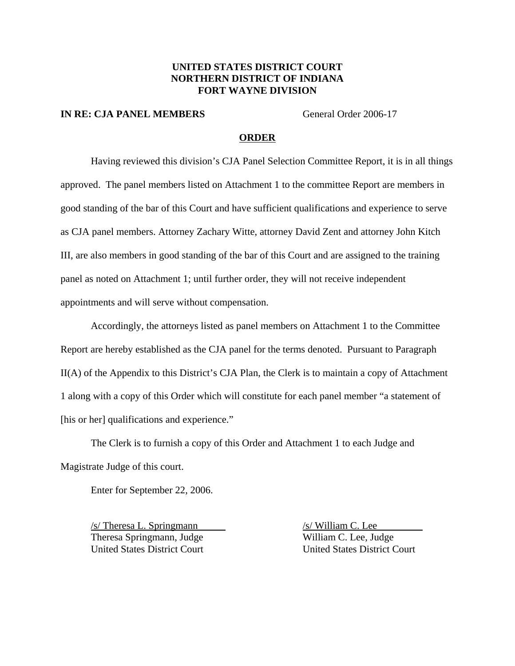## **UNITED STATES DISTRICT COURT NORTHERN DISTRICT OF INDIANA FORT WAYNE DIVISION**

#### **IN RE: CJA PANEL MEMBERS** General Order 2006-17

#### **ORDER**

Having reviewed this division's CJA Panel Selection Committee Report, it is in all things approved. The panel members listed on Attachment 1 to the committee Report are members in good standing of the bar of this Court and have sufficient qualifications and experience to serve as CJA panel members. Attorney Zachary Witte, attorney David Zent and attorney John Kitch III, are also members in good standing of the bar of this Court and are assigned to the training panel as noted on Attachment 1; until further order, they will not receive independent appointments and will serve without compensation.

Accordingly, the attorneys listed as panel members on Attachment 1 to the Committee Report are hereby established as the CJA panel for the terms denoted. Pursuant to Paragraph II(A) of the Appendix to this District's CJA Plan, the Clerk is to maintain a copy of Attachment 1 along with a copy of this Order which will constitute for each panel member "a statement of [his or her] qualifications and experience."

The Clerk is to furnish a copy of this Order and Attachment 1 to each Judge and Magistrate Judge of this court.

Enter for September 22, 2006.

 $\frac{s}{\text{N}}$  Theresa L. Springmann  $\frac{s}{\text{N}}$  William C. Lee Theresa Springmann, Judge William C. Lee, Judge United States District Court United States District Court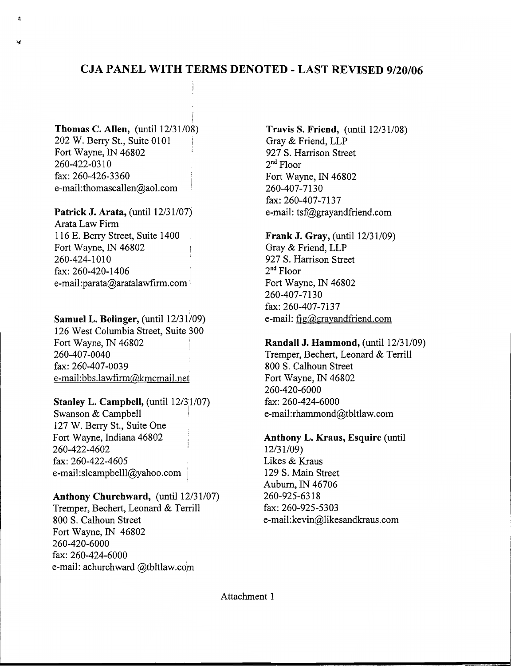# **CJA PANEL WITH TERMS DENOTED - LAST REVISED 9/20/06**

**Thomas C. Allen,** (until  $12/31/08$ ) 202 W. Berry St., Suite 0101 Fort Wayne, IN 46802 260-422-0310 fax: 260-426-3360 e-mail:thomascallen@aol.com

Patrick J. Arata, (until 12/31/07) Arata Law Firm 116 E. Berry Street, Suite 1400 Fort Wayne, IN 46802 260-424-1010 fax: 260-420-1406 e-mail:parata@aratalawfirm.com

#### Samuel L. Bolinger, (until 12/31/09)

126 West Columbia Street, Suite 300 Fort Wayne, IN 46802 260-407-0040 fax: 260-407-0039 e-mail:bbs.lawfirm@kmcmail.net

### **Stanley L. Campbell, (until 12/31/07)**

Swanson & Campbell 127 W. Berry St., Suite One Fort Wavne, Indiana 46802 260-422-4602 fax: 260-422-4605 e-mail:slcampbelll@yahoo.com

# Anthony Churchward, (until 12/31/07)

Tremper, Bechert, Leonard & Terrill 800 S. Calhoun Street Fort Wayne, IN 46802 260-420-6000 fax: 260-424-6000 e-mail: achurchward @tbltlaw.com

Travis S. Friend,  $(\text{until } 12/31/08)$ Gray & Friend, LLP 927 S. Harrison Street  $2<sup>nd</sup>$  Floor Fort Wayne, IN 46802 260-407-7130 fax: 260-407-7137 e-mail: tsf@grayandfriend.com

### **Frank J. Gray, (until 12/31/09)**

Gray & Friend, LLP 927 S. Harrison Street  $2<sup>nd</sup>$  Floor Fort Wayne, IN 46802 260-407-7130 fax: 260-407-7137 e-mail:  $fig(2)gray and friend.com$ 

### Randall J. Hammond, (until 12/31/09)

Tremper, Bechert, Leonard & Terrill 800 S. Calhoun Street Fort Wayne, IN 46802 260-420-6000 fax: 260-424-6000 e-mail:rhammond@tbltlaw.com

#### Anthony L. Kraus, Esquire (until

 $12/31/09$ Likes & Kraus 129 S. Main Street Auburn, IN 46706 260-925-6318 fax: 260-925-5303 e-mail:kevin@likesandkraus.com

Attachment 1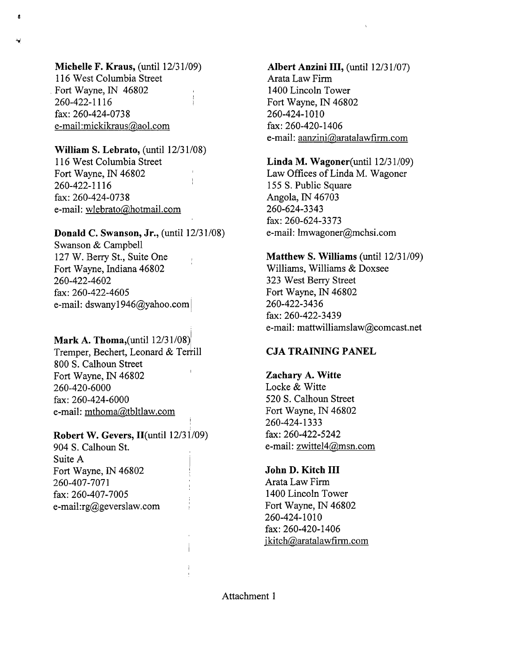Michelle F. Kraus,  $(until 12/31/09)$ 116 West Columbia Street Fort Wayne, IN 46802 260-422-1116 fax: 260-424-0738 e-mail:mickikraus@aol.com

## William S. Lebrato, (until 12/31/08) 116 West Columbia Street Fort Wayne, IN 46802 260-422-1116 fax: 260-424-0738 e-mail: wlebrato@hotmail.com

#### Donald C. Swanson, Jr., (until  $12/31/08$ )

Swanson & Campbell 127 W. Berry St., Suite One Fort Wayne, Indiana 46802 260-422-4602 fax: 260-422-4605 e-mail: dswany1946@yahoo.com

# **Mark A. Thoma,** (until  $12/31/08$ ) Tremper, Bechert, Leonard & Terrill 800 S. Calhoun Street Fort Wayne, IN 46802 260-420-6000 fax: 260-424-6000 e-mail: mthoma@tbltlaw.com

### Robert W. Gevers, II(until 12/31/09)

904 S. Calhoun St. Suite A Fort Wayne, IN 46802 260-407-7071 fax: 260-407-7005 e-mail:rg@geverslaw.com

### Albert Anzini III, (until 12/31/07)

Arata Law Firm 1400 Lincoln Tower Fort Wayne, IN 46802 260-424-1010 fax: 260-420-1406 e-mail: aanzini@aratalawfirm.com

### Linda M. Wagoner $($ until  $12/31/09)$

Law Offices of Linda M. Wagoner 155 S. Public Square Angola, IN 46703 260-624-3343 fax: 260-624-3373 e-mail: lmwagoner@mchsi.com

### **Matthew S. Williams (until 12/31/09)**

Williams, Williams & Doxsee 323 West Berry Street Fort Wayne, IN 46802 260-422-3436 fax: 260-422-3439 e-mail: mattwilliamslaw@comcast.net

# **CJA TRAINING PANEL**

#### Zachary A. Witte Locke & Witte

520 S. Calhoun Street Fort Wayne, IN 46802 260-424-1333 fax: 260-422-5242 e-mail: zwittel4@msn.com

# John D. Kitch III

Arata Law Firm 1400 Lincoln Tower Fort Wayne, IN 46802 260-424-1010 fax: 260-420-1406 jkitch@aratalawfirm.com

Attachment 1